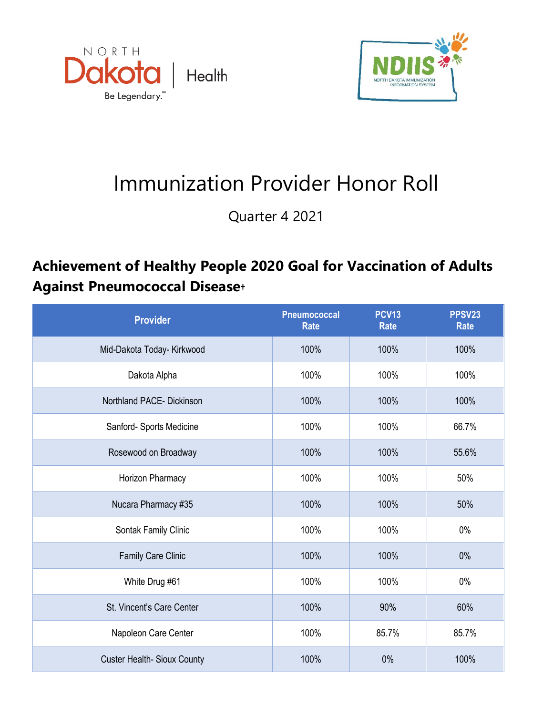



## Immunization Provider Honor Roll

Quarter 4 2021

## **Achievement of Healthy People 2020 Goal for Vaccination of Adults Against Pneumococcal Disease†**

| <b>Provider</b>             | <b>Pneumococcal</b><br><b>Rate</b> | <b>PCV13</b><br><b>Rate</b> | PPSV23<br><b>Rate</b> |
|-----------------------------|------------------------------------|-----------------------------|-----------------------|
| Mid-Dakota Today- Kirkwood  | 100%                               | 100%                        | 100%                  |
| Dakota Alpha                | 100%                               | 100%                        | 100%                  |
| Northland PACE- Dickinson   | 100%                               | 100%                        | 100%                  |
| Sanford- Sports Medicine    | 100%                               | 100%                        | 66.7%                 |
| Rosewood on Broadway        | 100%                               | 100%                        | 55.6%                 |
| Horizon Pharmacy            | 100%                               | 100%                        | 50%                   |
| Nucara Pharmacy #35         | 100%                               | 100%                        | 50%                   |
| Sontak Family Clinic        | 100%                               | 100%                        | 0%                    |
| Family Care Clinic          | 100%                               | 100%                        | 0%                    |
| White Drug #61              | 100%                               | 100%                        | $0\%$                 |
| St. Vincent's Care Center   | 100%                               | 90%                         | 60%                   |
| Napoleon Care Center        | 100%                               | 85.7%                       | 85.7%                 |
| Custer Health- Sioux County | 100%                               | 0%                          | 100%                  |